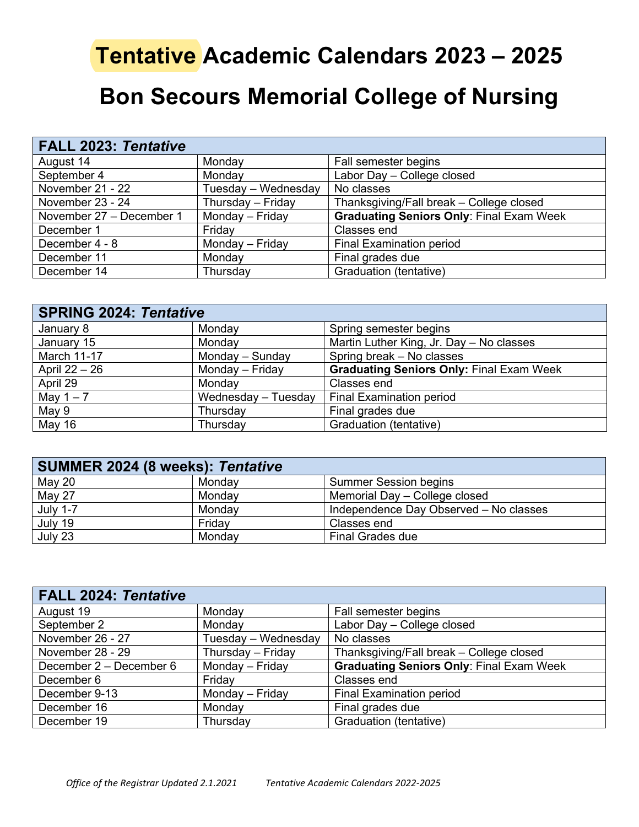## **Tentative Academic Calendars 2023 – 2025**

## **Bon Secours Memorial College of Nursing**

| <b>FALL 2023: Tentative</b> |                     |                                                 |
|-----------------------------|---------------------|-------------------------------------------------|
| August 14                   | Monday              | Fall semester begins                            |
| September 4                 | Monday              | Labor Day - College closed                      |
| November 21 - 22            | Tuesday - Wednesday | No classes                                      |
| November 23 - 24            | Thursday - Friday   | Thanksgiving/Fall break - College closed        |
| November 27 - December 1    | Monday - Friday     | <b>Graduating Seniors Only: Final Exam Week</b> |
| December 1                  | Friday              | Classes end                                     |
| December 4 - 8              | Monday - Friday     | <b>Final Examination period</b>                 |
| December 11                 | Monday              | Final grades due                                |
| December 14                 | Thursday            | Graduation (tentative)                          |

| <b>SPRING 2024: Tentative</b> |                     |                                                 |
|-------------------------------|---------------------|-------------------------------------------------|
| January 8                     | Monday              | Spring semester begins                          |
| January 15                    | Monday              | Martin Luther King, Jr. Day - No classes        |
| <b>March 11-17</b>            | Monday - Sunday     | Spring break - No classes                       |
| April 22 - 26                 | Monday - Friday     | <b>Graduating Seniors Only: Final Exam Week</b> |
| April 29                      | Monday              | Classes end                                     |
| May $1 - 7$                   | Wednesday - Tuesday | <b>Final Examination period</b>                 |
| May 9                         | Thursday            | Final grades due                                |
| May 16                        | Thursday            | Graduation (tentative)                          |

| SUMMER 2024 (8 weeks): Tentative |        |                                        |
|----------------------------------|--------|----------------------------------------|
| May 20                           | Monday | <b>Summer Session begins</b>           |
| May 27                           | Monday | Memorial Day - College closed          |
| <b>July 1-7</b>                  | Mondav | Independence Day Observed - No classes |
| July 19                          | Friday | Classes end                            |
| July 23                          | Monday | <b>Final Grades due</b>                |

| <b>FALL 2024: Tentative</b> |                     |                                                 |
|-----------------------------|---------------------|-------------------------------------------------|
| August 19                   | Monday              | Fall semester begins                            |
| September 2                 | Monday              | Labor Day - College closed                      |
| November 26 - 27            | Tuesday - Wednesday | No classes                                      |
| November 28 - 29            | Thursday - Friday   | Thanksgiving/Fall break - College closed        |
| December 2 – December 6     | Monday - Friday     | <b>Graduating Seniors Only: Final Exam Week</b> |
| December 6                  | Friday              | Classes end                                     |
| December 9-13               | Monday - Friday     | <b>Final Examination period</b>                 |
| December 16                 | Monday              | Final grades due                                |
| December 19                 | Thursday            | Graduation (tentative)                          |